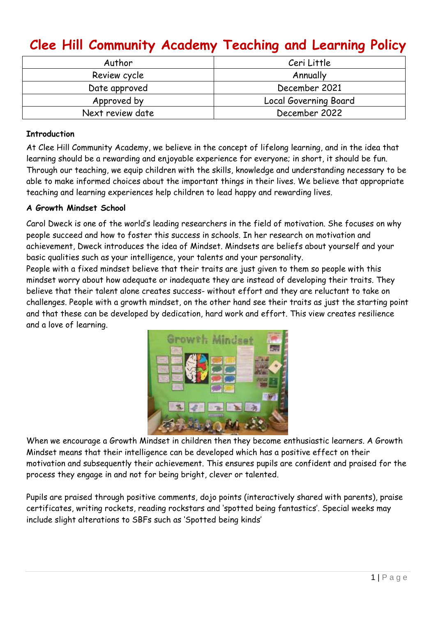# **Clee Hill Community Academy Teaching and Learning Policy**

| Author           | Ceri Little           |
|------------------|-----------------------|
| Review cycle     | Annually              |
| Date approved    | December 2021         |
| Approved by      | Local Governing Board |
| Next review date | December 2022         |

## **Introduction**

At Clee Hill Community Academy, we believe in the concept of lifelong learning, and in the idea that learning should be a rewarding and enjoyable experience for everyone; in short, it should be fun. Through our teaching, we equip children with the skills, knowledge and understanding necessary to be able to make informed choices about the important things in their lives. We believe that appropriate teaching and learning experiences help children to lead happy and rewarding lives.

## **A Growth Mindset School**

Carol Dweck is one of the world's leading researchers in the field of motivation. She focuses on why people succeed and how to foster this success in schools. In her research on motivation and achievement, Dweck introduces the idea of Mindset. Mindsets are beliefs about yourself and your basic qualities such as your intelligence, your talents and your personality.

People with a fixed mindset believe that their traits are just given to them so people with this mindset worry about how adequate or inadequate they are instead of developing their traits. They believe that their talent alone creates success- without effort and they are reluctant to take on challenges. People with a growth mindset, on the other hand see their traits as just the starting point and that these can be developed by dedication, hard work and effort. This view creates resilience and a love of learning.



When we encourage a Growth Mindset in children then they become enthusiastic learners. A Growth Mindset means that their intelligence can be developed which has a positive effect on their motivation and subsequently their achievement. This ensures pupils are confident and praised for the process they engage in and not for being bright, clever or talented.

Pupils are praised through positive comments, dojo points (interactively shared with parents), praise certificates, writing rockets, reading rockstars and 'spotted being fantastics'. Special weeks may include slight alterations to SBFs such as 'Spotted being kinds'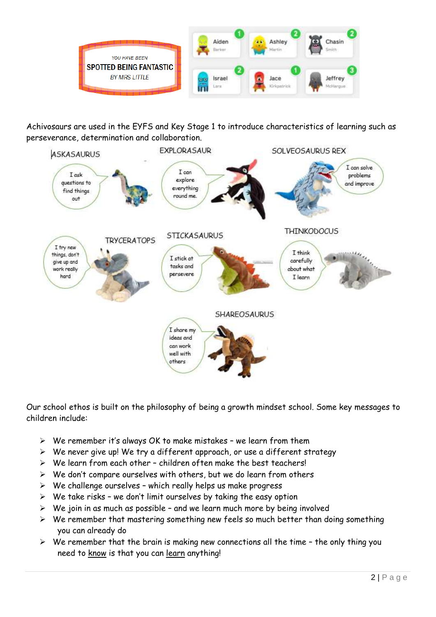

Achivosaurs are used in the EYFS and Key Stage 1 to introduce characteristics of learning such as perseverance, determination and collaboration.



Our school ethos is built on the philosophy of being a growth mindset school. Some key messages to children include:

- ➢ We remember it's always OK to make mistakes we learn from them
- ➢ We never give up! We try a different approach, or use a different strategy
- $\triangleright$  We learn from each other children often make the best teachers!
- $\triangleright$  We don't compare ourselves with others, but we do learn from others
- $\triangleright$  We challenge ourselves which really helps us make progress
- $\triangleright$  We take risks we don't limit ourselves by taking the easy option
- $\triangleright$  We join in as much as possible and we learn much more by being involved
- ➢ We remember that mastering something new feels so much better than doing something you can already do
- $\triangleright$  We remember that the brain is making new connections all the time the only thing you need to know is that you can learn anything!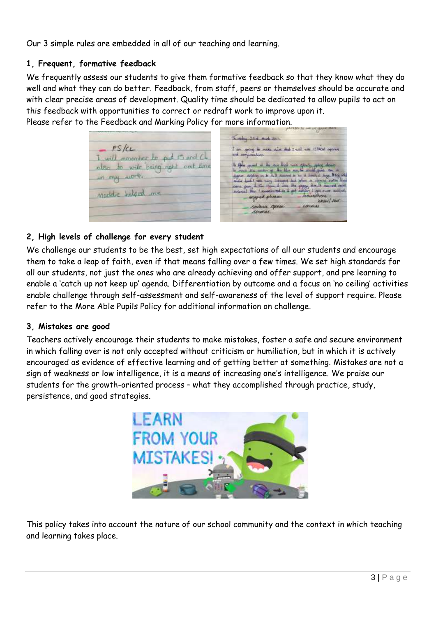Our 3 simple rules are embedded in all of our teaching and learning.

## **1, Frequent, formative feedback**

We frequently assess our students to give them formative feedback so that they know what they do well and what they can do better. Feedback, from staff, peers or themselves should be accurate and with clear precise areas of development. Quality time should be dedicated to allow pupils to act on this feedback with opportunities to correct or redraft work to improve upon it. Please refer to the Feedback and Marking Policy for more information.

|                                                  | Truckley, 23 of Mich 2011.                                                                                                                                                               |
|--------------------------------------------------|------------------------------------------------------------------------------------------------------------------------------------------------------------------------------------------|
| $-FS/CL$<br>I will remember to put its and Ch.   | I am ging to make nime that I will not ISPACIA operate<br>and sumperialism.                                                                                                              |
| also to wite being right and time<br>in my work. | In these years at the case that was speedy going down<br>in court the mater of the life and in maid past for an<br>signer stopling on in it. It succeed in to at location large. Big who |
| modelic helped me                                | cover gram 1.75m (translations free program Bot.Th comment cross<br>mapped pleases have have<br><b>knowl red</b>                                                                         |
|                                                  | sortenic operat<br><b>LONGILLE</b><br><b><i><u>Countains</u></i></b>                                                                                                                     |

## **2, High levels of challenge for every student**

We challenge our students to be the best, set high expectations of all our students and encourage them to take a leap of faith, even if that means falling over a few times. We set high standards for all our students, not just the ones who are already achieving and offer support, and pre learning to enable a 'catch up not keep up' agenda. Differentiation by outcome and a focus on 'no ceiling' activities enable challenge through self-assessment and self-awareness of the level of support require. Please refer to the More Able Pupils Policy for additional information on challenge.

## **3, Mistakes are good**

Teachers actively encourage their students to make mistakes, foster a safe and secure environment in which falling over is not only accepted without criticism or humiliation, but in which it is actively encouraged as evidence of effective learning and of getting better at something. Mistakes are not a sign of weakness or low intelligence, it is a means of increasing one's intelligence. We praise our students for the growth-oriented process – what they accomplished through practice, study, persistence, and good strategies.



This policy takes into account the nature of our school community and the context in which teaching and learning takes place.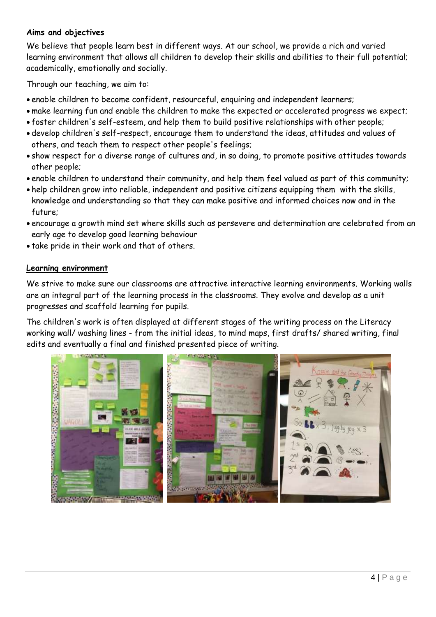## **Aims and objectives**

We believe that people learn best in different ways. At our school, we provide a rich and varied learning environment that allows all children to develop their skills and abilities to their full potential; academically, emotionally and socially.

Through our teaching, we aim to:

- enable children to become confident, resourceful, enquiring and independent learners;
- make learning fun and enable the children to make the expected or accelerated progress we expect;
- foster children's self-esteem, and help them to build positive relationships with other people;
- develop children's self-respect, encourage them to understand the ideas, attitudes and values of others, and teach them to respect other people's feelings;
- show respect for a diverse range of cultures and, in so doing, to promote positive attitudes towards other people;
- enable children to understand their community, and help them feel valued as part of this community;
- help children grow into reliable, independent and positive citizens equipping them with the skills, knowledge and understanding so that they can make positive and informed choices now and in the future;
- encourage a growth mind set where skills such as persevere and determination are celebrated from an early age to develop good learning behaviour
- take pride in their work and that of others.

## **Learning environment**

We strive to make sure our classrooms are attractive interactive learning environments. Working walls are an integral part of the learning process in the classrooms. They evolve and develop as a unit progresses and scaffold learning for pupils.

The children's work is often displayed at different stages of the writing process on the Literacy working wall/ washing lines - from the initial ideas, to mind maps, first drafts/ shared writing, final edits and eventually a final and finished presented piece of writing.

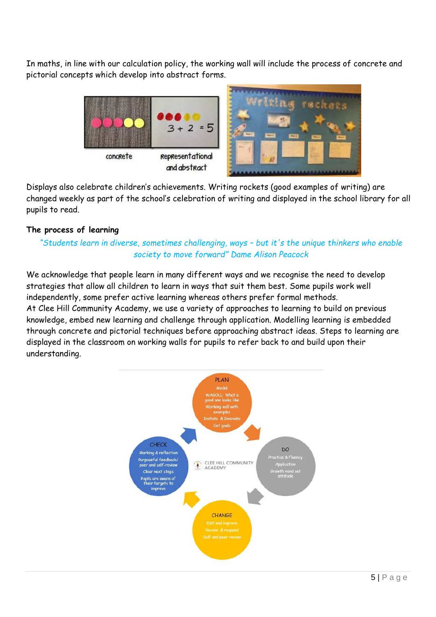In maths, in line with our calculation policy, the working wall will include the process of concrete and pictorial concepts which develop into abstract forms.



Displays also celebrate children's achievements. Writing rockets (good examples of writing) are changed weekly as part of the school's celebration of writing and displayed in the school library for all pupils to read.

## **The process of learning**

*"Students learn in diverse, sometimes challenging, ways – but it's the unique thinkers who enable society to move forward" Dame Alison Peacock*

We acknowledge that people learn in many different ways and we recognise the need to develop strategies that allow all children to learn in ways that suit them best. Some pupils work well independently, some prefer active learning whereas others prefer formal methods. At Clee Hill Community Academy, we use a variety of approaches to learning to build on previous knowledge, embed new learning and challenge through application. Modelling learning is embedded through concrete and pictorial techniques before approaching abstract ideas. Steps to learning are displayed in the classroom on working walls for pupils to refer back to and build upon their understanding.

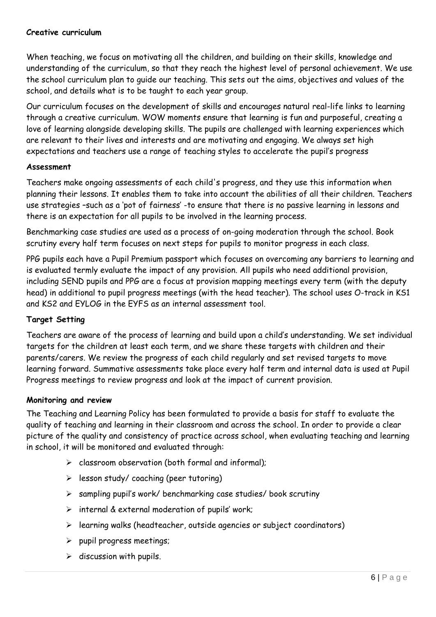## **Creative curriculum**

When teaching, we focus on motivating all the children, and building on their skills, knowledge and understanding of the curriculum, so that they reach the highest level of personal achievement. We use the school curriculum plan to guide our teaching. This sets out the aims, objectives and values of the school, and details what is to be taught to each year group.

Our curriculum focuses on the development of skills and encourages natural real-life links to learning through a creative curriculum. WOW moments ensure that learning is fun and purposeful, creating a love of learning alongside developing skills. The pupils are challenged with learning experiences which are relevant to their lives and interests and are motivating and engaging. We always set high expectations and teachers use a range of teaching styles to accelerate the pupil's progress

## **Assessment**

Teachers make ongoing assessments of each child's progress, and they use this information when planning their lessons. It enables them to take into account the abilities of all their children. Teachers use strategies –such as a 'pot of fairness' -to ensure that there is no passive learning in lessons and there is an expectation for all pupils to be involved in the learning process.

Benchmarking case studies are used as a process of on-going moderation through the school. Book scrutiny every half term focuses on next steps for pupils to monitor progress in each class.

PPG pupils each have a Pupil Premium passport which focuses on overcoming any barriers to learning and is evaluated termly evaluate the impact of any provision. All pupils who need additional provision, including SEND pupils and PPG are a focus at provision mapping meetings every term (with the deputy head) in additional to pupil progress meetings (with the head teacher). The school uses O-track in KS1 and KS2 and EYLOG in the EYFS as an internal assessment tool.

## **Target Setting**

Teachers are aware of the process of learning and build upon a child's understanding. We set individual targets for the children at least each term, and we share these targets with children and their parents/carers. We review the progress of each child regularly and set revised targets to move learning forward. Summative assessments take place every half term and internal data is used at Pupil Progress meetings to review progress and look at the impact of current provision.

## **Monitoring and review**

The Teaching and Learning Policy has been formulated to provide a basis for staff to evaluate the quality of teaching and learning in their classroom and across the school. In order to provide a clear picture of the quality and consistency of practice across school, when evaluating teaching and learning in school, it will be monitored and evaluated through:

- $\geq$  classroom observation (both formal and informal):
- ➢ lesson study/ coaching (peer tutoring)
- ➢ sampling pupil's work/ benchmarking case studies/ book scrutiny
- $\triangleright$  internal & external moderation of pupils' work;
- ➢ learning walks (headteacher, outside agencies or subject coordinators)
- ➢ pupil progress meetings;
- $\triangleright$  discussion with pupils.